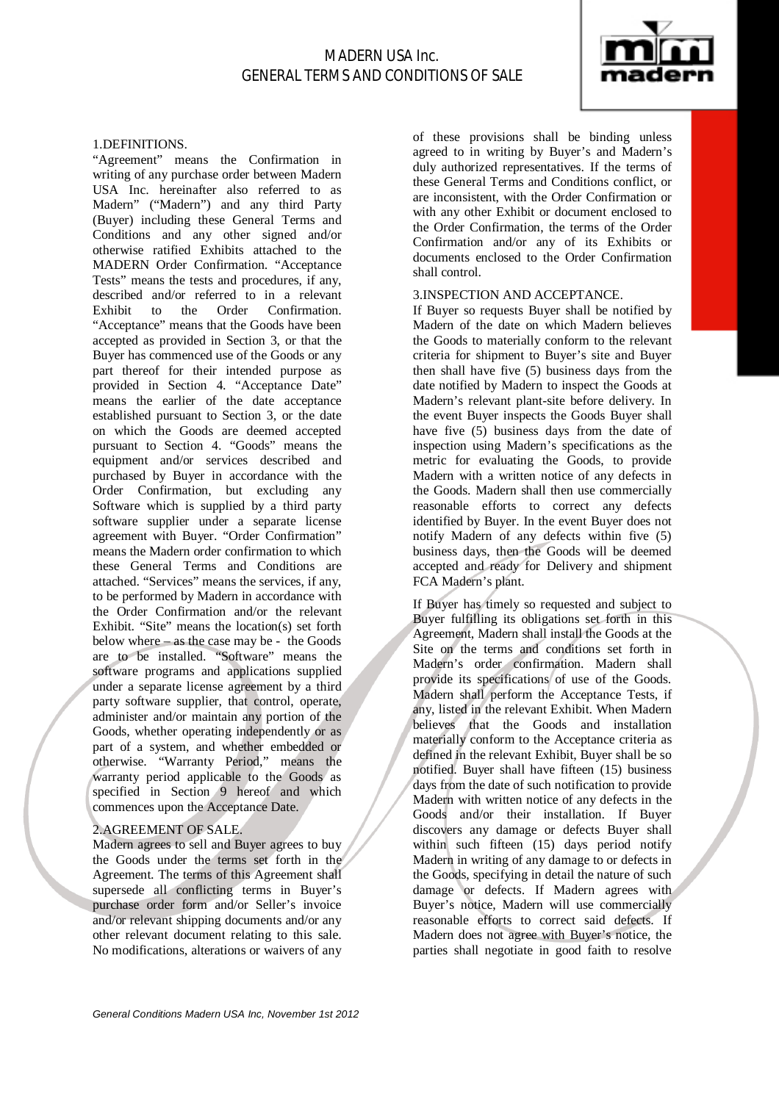

#### 1.DEFINITIONS.

"Agreement" means the Confirmation in writing of any purchase order between Madern USA Inc. hereinafter also referred to as Madern" ("Madern") and any third Party (Buyer) including these General Terms and Conditions and any other signed and/or otherwise ratified Exhibits attached to the MADERN Order Confirmation. "Acceptance Tests" means the tests and procedures, if any, described and/or referred to in a relevant<br>Exhibit to the Order Confirmation. Confirmation. "Acceptance" means that the Goods have been accepted as provided in Section 3, or that the Buyer has commenced use of the Goods or any part thereof for their intended purpose as provided in Section 4. "Acceptance Date" means the earlier of the date acceptance established pursuant to Section 3, or the date on which the Goods are deemed accepted pursuant to Section 4. "Goods" means the equipment and/or services described and purchased by Buyer in accordance with the Order Confirmation, but excluding any Software which is supplied by a third party software supplier under a separate license agreement with Buyer. "Order Confirmation" means the Madern order confirmation to which these General Terms and Conditions are attached. "Services" means the services, if any, to be performed by Madern in accordance with the Order Confirmation and/or the relevant Exhibit. "Site" means the location(s) set forth below where – as the case may be - the Goods are to be installed. "Software" means the software programs and applications supplied under a separate license agreement by a third party software supplier, that control, operate, administer and/or maintain any portion of the Goods, whether operating independently or as part of a system, and whether embedded or otherwise. "Warranty Period," means the warranty period applicable to the Goods as specified in Section 9 hereof and which commences upon the Acceptance Date.

### 2.AGREEMENT OF SALE.

Madern agrees to sell and Buyer agrees to buy the Goods under the terms set forth in the Agreement. The terms of this Agreement shall supersede all conflicting terms in Buyer's purchase order form and/or Seller's invoice and/or relevant shipping documents and/or any other relevant document relating to this sale. No modifications, alterations or waivers of any of these provisions shall be binding unless agreed to in writing by Buyer's and Madern's duly authorized representatives. If the terms of these General Terms and Conditions conflict, or are inconsistent, with the Order Confirmation or with any other Exhibit or document enclosed to the Order Confirmation, the terms of the Order Confirmation and/or any of its Exhibits or documents enclosed to the Order Confirmation shall control.

### 3.INSPECTION AND ACCEPTANCE.

If Buyer so requests Buyer shall be notified by Madern of the date on which Madern believes the Goods to materially conform to the relevant criteria for shipment to Buyer's site and Buyer then shall have five (5) business days from the date notified by Madern to inspect the Goods at Madern's relevant plant-site before delivery. In the event Buyer inspects the Goods Buyer shall have five (5) business days from the date of inspection using Madern's specifications as the metric for evaluating the Goods, to provide Madern with a written notice of any defects in the Goods. Madern shall then use commercially reasonable efforts to correct any defects identified by Buyer. In the event Buyer does not notify Madern of any defects within five (5) business days, then the Goods will be deemed accepted and ready for Delivery and shipment FCA Madern's plant.

If Buyer has timely so requested and subject to Buyer fulfilling its obligations set forth in this Agreement, Madern shall install the Goods at the Site on the terms and conditions set forth in Madern's order confirmation. Madern shall provide its specifications of use of the Goods. Madern shall perform the Acceptance Tests, if any, listed in the relevant Exhibit. When Madern believes that the Goods and installation materially conform to the Acceptance criteria as defined in the relevant Exhibit, Buyer shall be so notified. Buyer shall have fifteen (15) business days from the date of such notification to provide Madern with written notice of any defects in the Goods and/or their installation. If Buyer discovers any damage or defects Buyer shall within such fifteen (15) days period notify Madern in writing of any damage to or defects in the Goods, specifying in detail the nature of such damage or defects. If Madern agrees with Buyer's notice, Madern will use commercially reasonable efforts to correct said defects. If Madern does not agree with Buyer's notice, the parties shall negotiate in good faith to resolve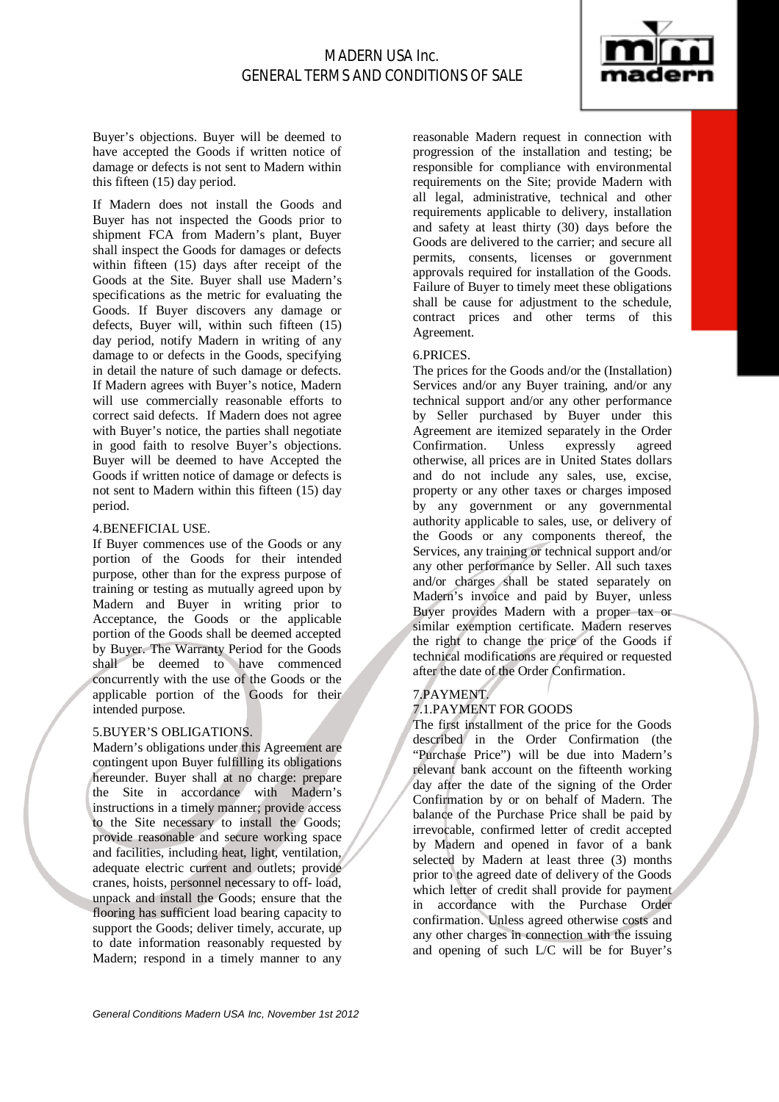

Buyer's objections. Buyer will be deemed to have accepted the Goods if written notice of damage or defects is not sent to Madern within this fifteen (15) day period.

If Madern does not install the Goods and Buyer has not inspected the Goods prior to shipment FCA from Madern's plant, Buyer shall inspect the Goods for damages or defects within fifteen (15) days after receipt of the Goods at the Site. Buyer shall use Madern's specifications as the metric for evaluating the Goods. If Buyer discovers any damage or defects, Buyer will, within such fifteen (15) day period, notify Madern in writing of any damage to or defects in the Goods, specifying in detail the nature of such damage or defects. If Madern agrees with Buyer's notice, Madern will use commercially reasonable efforts to correct said defects. If Madern does not agree with Buyer's notice, the parties shall negotiate in good faith to resolve Buyer's objections. Buyer will be deemed to have Accepted the Goods if written notice of damage or defects is not sent to Madern within this fifteen (15) day period.

#### 4.BENEFICIAL USE.

If Buyer commences use of the Goods or any portion of the Goods for their intended purpose, other than for the express purpose of training or testing as mutually agreed upon by Madern and Buyer in writing prior to Acceptance, the Goods or the applicable portion of the Goods shall be deemed accepted by Buyer. The Warranty Period for the Goods shall be deemed to have commenced concurrently with the use of the Goods or the applicable portion of the Goods for their intended purpose.

#### 5.BUYER'S OBLIGATIONS.

Madern's obligations under this Agreement are contingent upon Buyer fulfilling its obligations hereunder. Buyer shall at no charge: prepare the Site in accordance with Madern's instructions in a timely manner; provide access to the Site necessary to install the Goods; provide reasonable and secure working space and facilities, including heat, light, ventilation, adequate electric current and outlets; provide cranes, hoists, personnel necessary to off- load, unpack and install the Goods; ensure that the flooring has sufficient load bearing capacity to support the Goods; deliver timely, accurate, up to date information reasonably requested by Madern; respond in a timely manner to any

reasonable Madern request in connection with progression of the installation and testing; be responsible for compliance with environmental requirements on the Site; provide Madern with all legal, administrative, technical and other requirements applicable to delivery, installation and safety at least thirty (30) days before the Goods are delivered to the carrier; and secure all permits, consents, licenses or government approvals required for installation of the Goods. Failure of Buyer to timely meet these obligations shall be cause for adjustment to the schedule, contract prices and other terms of this Agreement.

## 6.PRICES.

The prices for the Goods and/or the (Installation) Services and/or any Buyer training, and/or any technical support and/or any other performance by Seller purchased by Buyer under this Agreement are itemized separately in the Order Confirmation. Unless expressly agreed otherwise, all prices are in United States dollars and do not include any sales, use, excise, property or any other taxes or charges imposed by any government or any governmental authority applicable to sales, use, or delivery of the Goods or any components thereof, the Services, any training or technical support and/or any other performance by Seller. All such taxes and/or charges shall be stated separately on Madern's invoice and paid by Buyer, unless Buyer provides Madern with a proper tax or similar exemption certificate. Madern reserves the right to change the price of the Goods if technical modifications are required or requested after the date of the Order Confirmation.

## 7.PAYMENT.

## 7.1.PAYMENT FOR GOODS

The first installment of the price for the Goods described in the Order Confirmation (the "Purchase Price") will be due into Madern's relevant bank account on the fifteenth working day after the date of the signing of the Order Confirmation by or on behalf of Madern. The balance of the Purchase Price shall be paid by irrevocable, confirmed letter of credit accepted by Madern and opened in favor of a bank selected by Madern at least three (3) months prior to the agreed date of delivery of the Goods which letter of credit shall provide for payment in accordance with the Purchase Order confirmation. Unless agreed otherwise costs and any other charges in connection with the issuing and opening of such L/C will be for Buyer's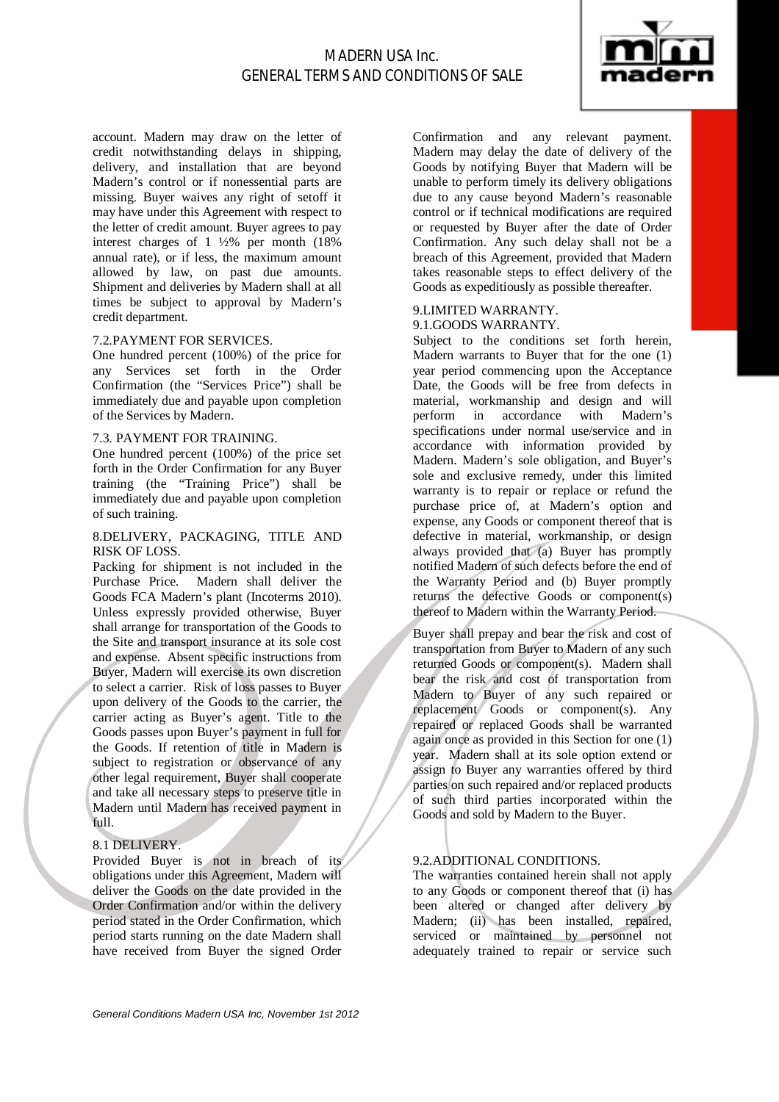

account. Madern may draw on the letter of credit notwithstanding delays in shipping, delivery, and installation that are beyond Madern's control or if nonessential parts are missing. Buyer waives any right of setoff it may have under this Agreement with respect to the letter of credit amount. Buyer agrees to pay interest charges of  $1\frac{1}{2}\%$  per month (18%) annual rate), or if less, the maximum amount allowed by law, on past due amounts. Shipment and deliveries by Madern shall at all times be subject to approval by Madern's credit department.

#### 7.2.PAYMENT FOR SERVICES.

One hundred percent (100%) of the price for any Services set forth in the Order Confirmation (the "Services Price") shall be immediately due and payable upon completion of the Services by Madern.

## 7.3. PAYMENT FOR TRAINING.

One hundred percent (100%) of the price set forth in the Order Confirmation for any Buyer training (the "Training Price") shall be immediately due and payable upon completion of such training.

## 8.DELIVERY, PACKAGING, TITLE AND RISK OF LOSS.

Packing for shipment is not included in the Purchase Price. Madern shall deliver the Goods FCA Madern's plant (Incoterms 2010). Unless expressly provided otherwise, Buyer shall arrange for transportation of the Goods to the Site and transport insurance at its sole cost and expense. Absent specific instructions from Buyer, Madern will exercise its own discretion to select a carrier. Risk of loss passes to Buyer upon delivery of the Goods to the carrier, the carrier acting as Buyer's agent. Title to the Goods passes upon Buyer's payment in full for the Goods. If retention of title in Madern is subject to registration or observance of any other legal requirement, Buyer shall cooperate and take all necessary steps to preserve title in Madern until Madern has received payment in full.

## 8.1 DELIVERY.

Provided Buyer is not in breach of its obligations under this Agreement, Madern will deliver the Goods on the date provided in the Order Confirmation and/or within the delivery period stated in the Order Confirmation, which period starts running on the date Madern shall have received from Buyer the signed Order

Confirmation and any relevant payment. Madern may delay the date of delivery of the Goods by notifying Buyer that Madern will be unable to perform timely its delivery obligations due to any cause beyond Madern's reasonable control or if technical modifications are required or requested by Buyer after the date of Order Confirmation. Any such delay shall not be a breach of this Agreement, provided that Madern takes reasonable steps to effect delivery of the Goods as expeditiously as possible thereafter.

#### 9.LIMITED WARRANTY. 9.1.GOODS WARRANTY.

Subject to the conditions set forth herein, Madern warrants to Buyer that for the one (1) year period commencing upon the Acceptance Date, the Goods will be free from defects in material, workmanship and design and will perform in accordance with Madern's specifications under normal use/service and in accordance with information provided by Madern. Madern's sole obligation, and Buyer's sole and exclusive remedy, under this limited warranty is to repair or replace or refund the purchase price of, at Madern's option and expense, any Goods or component thereof that is defective in material, workmanship, or design always provided that (a) Buyer has promptly notified Madern of such defects before the end of the Warranty Period and (b) Buyer promptly returns the defective Goods or component(s) thereof to Madern within the Warranty Period.

Buyer shall prepay and bear the risk and cost of transportation from Buyer to Madern of any such returned Goods or component(s). Madern shall bear the risk and cost of transportation from Madern to Buyer of any such repaired or replacement Goods or component(s). Any repaired or replaced Goods shall be warranted again once as provided in this Section for one (1) year. Madern shall at its sole option extend or assign to Buyer any warranties offered by third parties on such repaired and/or replaced products of such third parties incorporated within the Goods and sold by Madern to the Buyer.

#### 9.2.ADDITIONAL CONDITIONS.

The warranties contained herein shall not apply to any Goods or component thereof that (i) has been altered or changed after delivery by Madern; (ii) has been installed, repaired, serviced or maintained by personnel not adequately trained to repair or service such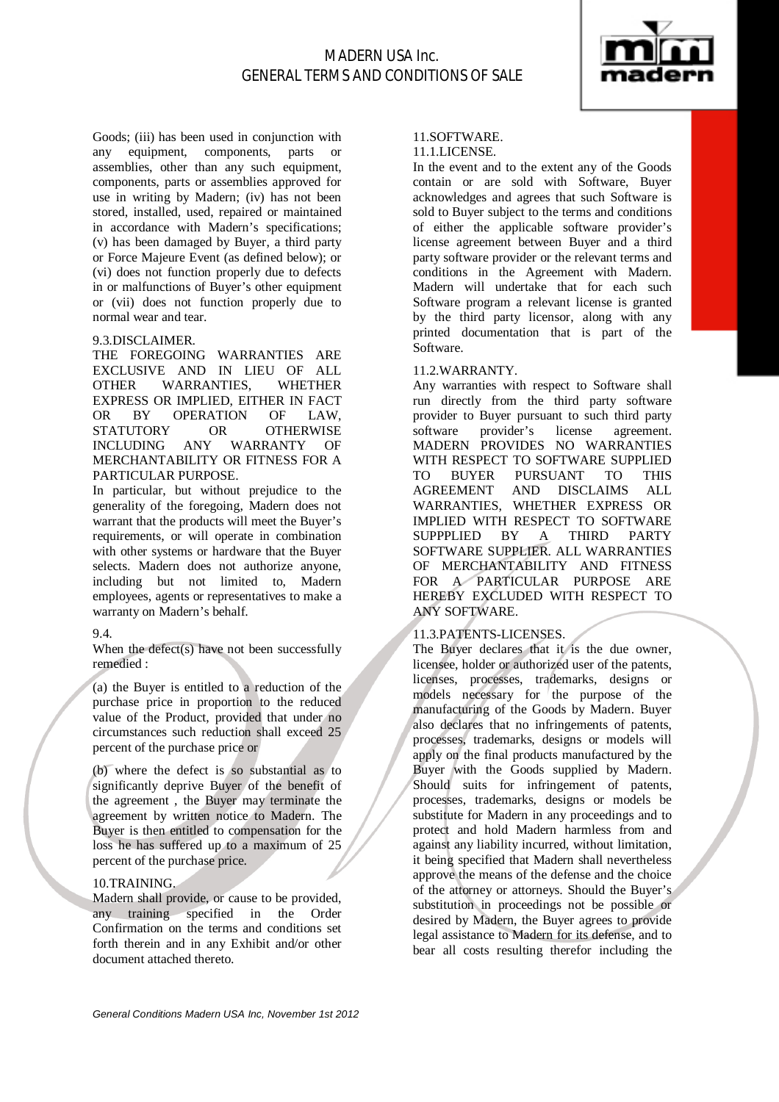

Goods; (iii) has been used in conjunction with any equipment, components, parts or assemblies, other than any such equipment, components, parts or assemblies approved for use in writing by Madern; (iv) has not been stored, installed, used, repaired or maintained in accordance with Madern's specifications; (v) has been damaged by Buyer, a third party or Force Majeure Event (as defined below); or (vi) does not function properly due to defects in or malfunctions of Buyer's other equipment or (vii) does not function properly due to normal wear and tear.

#### 9.3.DISCLAIMER.

THE FOREGOING WARRANTIES ARE EXCLUSIVE AND IN LIEU OF ALL OTHER WARRANTIES, WHETHER EXPRESS OR IMPLIED, EITHER IN FACT OR BY OPERATION OF LAW, STATUTORY OR OTHERWISE<br>INCLUDING ANY WARRANTY OF INCLUDING ANY WARRANTY OF MERCHANTABILITY OR FITNESS FOR A PARTICULAR PURPOSE.

In particular, but without prejudice to the generality of the foregoing, Madern does not warrant that the products will meet the Buyer's requirements, or will operate in combination with other systems or hardware that the Buyer selects. Madern does not authorize anyone, including but not limited to, Madern employees, agents or representatives to make a warranty on Madern's behalf.

#### 9.4.

When the defect(s) have not been successfully remedied :

(a) the Buyer is entitled to a reduction of the purchase price in proportion to the reduced value of the Product, provided that under no circumstances such reduction shall exceed 25 percent of the purchase price or

(b) where the defect is so substantial as to significantly deprive Buyer of the benefit of the agreement , the Buyer may terminate the agreement by written notice to Madern. The Buyer is then entitled to compensation for the loss he has suffered up to a maximum of 25 percent of the purchase price.

### 10.TRAINING.

Madern shall provide, or cause to be provided, any training specified in the Order Confirmation on the terms and conditions set forth therein and in any Exhibit and/or other document attached thereto.

## 11.SOFTWARE.

## 11.1.LICENSE.

In the event and to the extent any of the Goods contain or are sold with Software, Buyer acknowledges and agrees that such Software is sold to Buyer subject to the terms and conditions of either the applicable software provider's license agreement between Buyer and a third party software provider or the relevant terms and conditions in the Agreement with Madern. Madern will undertake that for each such Software program a relevant license is granted by the third party licensor, along with any printed documentation that is part of the Software.

#### 11.2.WARRANTY.

Any warranties with respect to Software shall run directly from the third party software provider to Buyer pursuant to such third party software provider's license agreement. MADERN PROVIDES NO WARRANTIES WITH RESPECT TO SOFTWARE SUPPLIED TO BUYER PURSUANT TO THIS AGREEMENT AND DISCLAIMS ALL WARRANTIES, WHETHER EXPRESS OR IMPLIED WITH RESPECT TO SOFTWARE SUPPPLIED BY A THIRD PARTY SOFTWARE SUPPLIER. ALL WARRANTIES OF MERCHANTABILITY AND FITNESS FOR A PARTICULAR PURPOSE ARE HEREBY EXCLUDED WITH RESPECT TO ANY SOFTWARE.

#### 11.3.PATENTS-LICENSES.

The Buyer declares that it is the due owner, licensee, holder or authorized user of the patents, licenses, processes, trademarks, designs or models necessary for the purpose of the manufacturing of the Goods by Madern. Buyer also declares that no infringements of patents, processes, trademarks, designs or models will apply on the final products manufactured by the Buyer with the Goods supplied by Madern. Should suits for infringement of patents, processes, trademarks, designs or models be substitute for Madern in any proceedings and to protect and hold Madern harmless from and against any liability incurred, without limitation, it being specified that Madern shall nevertheless approve the means of the defense and the choice of the attorney or attorneys. Should the Buyer's substitution in proceedings not be possible or desired by Madern, the Buyer agrees to provide legal assistance to Madern for its defense, and to bear all costs resulting therefor including the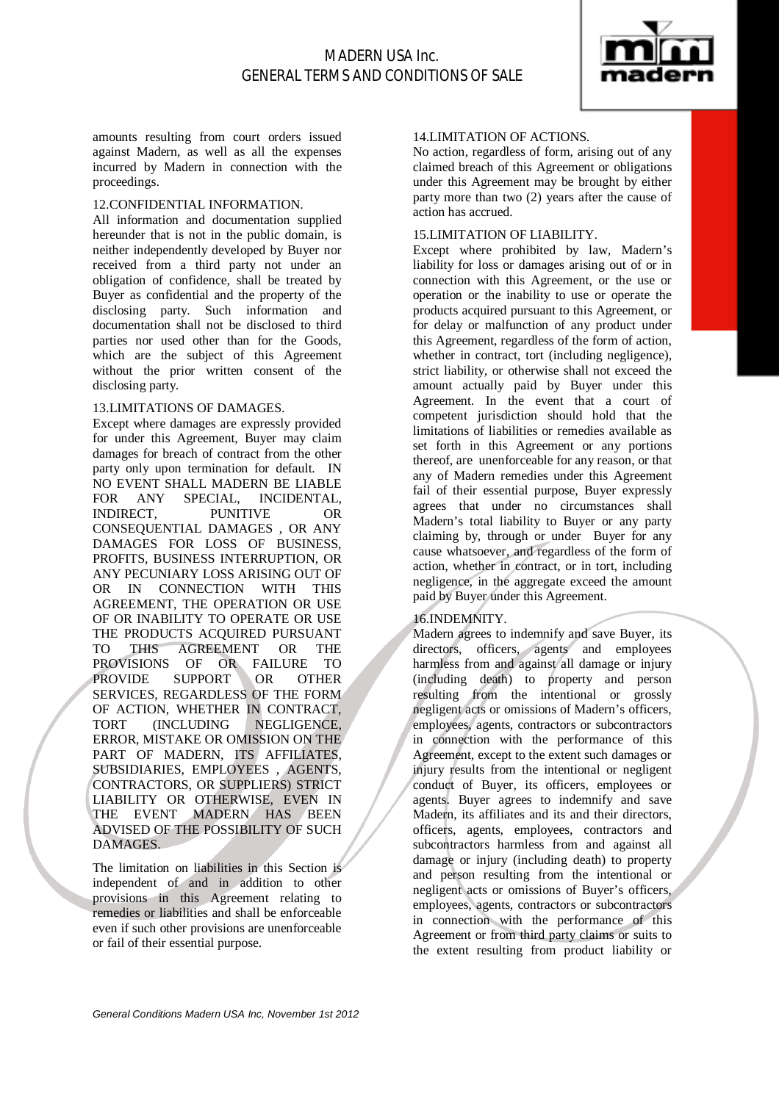

amounts resulting from court orders issued against Madern, as well as all the expenses incurred by Madern in connection with the proceedings.

### 12.CONFIDENTIAL INFORMATION.

All information and documentation supplied hereunder that is not in the public domain, is neither independently developed by Buyer nor received from a third party not under an obligation of confidence, shall be treated by Buyer as confidential and the property of the disclosing party. Such information and documentation shall not be disclosed to third parties nor used other than for the Goods, which are the subject of this Agreement without the prior written consent of the disclosing party.

#### 13.LIMITATIONS OF DAMAGES.

Except where damages are expressly provided for under this Agreement, Buyer may claim damages for breach of contract from the other party only upon termination for default. IN NO EVENT SHALL MADERN BE LIABLE FOR ANY SPECIAL, INCIDENTAL, INDIRECT, PUNITIVE OR CONSEQUENTIAL DAMAGES , OR ANY DAMAGES FOR LOSS OF BUSINESS, PROFITS, BUSINESS INTERRUPTION, OR ANY PECUNIARY LOSS ARISING OUT OF OR IN CONNECTION WITH THIS AGREEMENT, THE OPERATION OR USE OF OR INABILITY TO OPERATE OR USE THE PRODUCTS ACQUIRED PURSUANT TO THIS AGREEMENT OR THE PROVISIONS OF OR FAILURE TO PROVIDE SUPPORT OR OTHER SERVICES, REGARDLESS OF THE FORM OF ACTION, WHETHER IN CONTRACT, TORT (INCLUDING NEGLIGENCE, ERROR, MISTAKE OR OMISSION ON THE PART OF MADERN, ITS AFFILIATES, SUBSIDIARIES, EMPLOYEES , AGENTS, CONTRACTORS, OR SUPPLIERS) STRICT LIABILITY OR OTHERWISE, EVEN IN THE EVENT MADERN HAS BEEN ADVISED OF THE POSSIBILITY OF SUCH DAMAGES.

The limitation on liabilities in this Section is independent of and in addition to other provisions in this Agreement relating to remedies or liabilities and shall be enforceable even if such other provisions are unenforceable or fail of their essential purpose.

## 14.LIMITATION OF ACTIONS.

No action, regardless of form, arising out of any claimed breach of this Agreement or obligations under this Agreement may be brought by either party more than two (2) years after the cause of action has accrued.

#### 15.LIMITATION OF LIABILITY.

Except where prohibited by law, Madern's liability for loss or damages arising out of or in connection with this Agreement, or the use or operation or the inability to use or operate the products acquired pursuant to this Agreement, or for delay or malfunction of any product under this Agreement, regardless of the form of action, whether in contract, tort (including negligence), strict liability, or otherwise shall not exceed the amount actually paid by Buyer under this Agreement. In the event that a court of competent jurisdiction should hold that the limitations of liabilities or remedies available as set forth in this Agreement or any portions thereof, are unenforceable for any reason, or that any of Madern remedies under this Agreement fail of their essential purpose, Buyer expressly agrees that under no circumstances shall Madern's total liability to Buyer or any party claiming by, through or under Buyer for any cause whatsoever, and regardless of the form of action, whether in contract, or in tort, including negligence, in the aggregate exceed the amount paid by Buyer under this Agreement.

## 16.INDEMNITY.

Madern agrees to indemnify and save Buyer, its directors, officers, agents and employees harmless from and against all damage or injury (including death) to property and person resulting from the intentional or grossly negligent acts or omissions of Madern's officers, employees, agents, contractors or subcontractors in connection with the performance of this Agreement, except to the extent such damages or injury results from the intentional or negligent conduct of Buyer, its officers, employees or agents. Buyer agrees to indemnify and save Madern, its affiliates and its and their directors, officers, agents, employees, contractors and subcontractors harmless from and against all damage or injury (including death) to property and person resulting from the intentional or negligent acts or omissions of Buyer's officers, employees, agents, contractors or subcontractors in connection with the performance of this Agreement or from third party claims or suits to the extent resulting from product liability or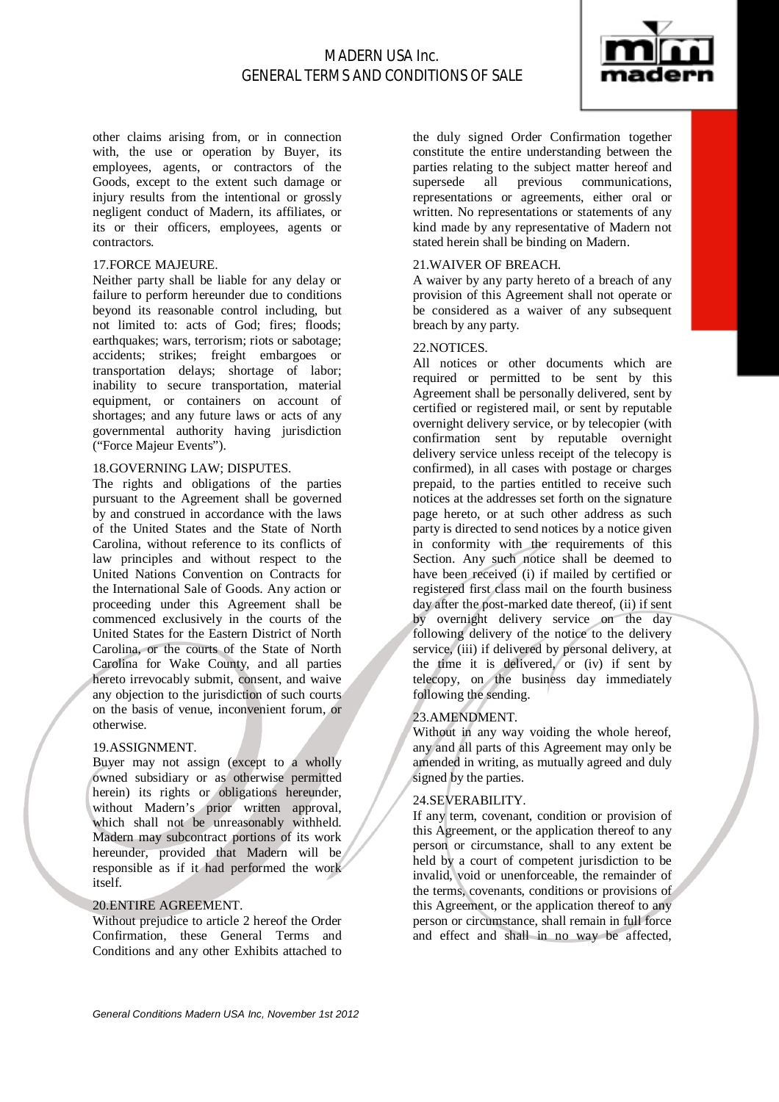

other claims arising from, or in connection with, the use or operation by Buyer, its employees, agents, or contractors of the Goods, except to the extent such damage or injury results from the intentional or grossly negligent conduct of Madern, its affiliates, or its or their officers, employees, agents or contractors.

## 17.FORCE MAJEURE.

Neither party shall be liable for any delay or failure to perform hereunder due to conditions beyond its reasonable control including, but not limited to: acts of God; fires; floods; earthquakes; wars, terrorism; riots or sabotage; accidents; strikes; freight embargoes or transportation delays; shortage of labor; inability to secure transportation, material equipment, or containers on account of shortages; and any future laws or acts of any governmental authority having jurisdiction ("Force Majeur Events").

## 18.GOVERNING LAW; DISPUTES.

The rights and obligations of the parties pursuant to the Agreement shall be governed by and construed in accordance with the laws of the United States and the State of North Carolina, without reference to its conflicts of law principles and without respect to the United Nations Convention on Contracts for the International Sale of Goods. Any action or proceeding under this Agreement shall be commenced exclusively in the courts of the United States for the Eastern District of North Carolina, or the courts of the State of North Carolina for Wake County, and all parties hereto irrevocably submit, consent, and waive any objection to the jurisdiction of such courts on the basis of venue, inconvenient forum, or otherwise.

#### 19.ASSIGNMENT.

Buyer may not assign (except to a wholly owned subsidiary or as otherwise permitted herein) its rights or obligations hereunder, without Madern's prior written approval, which shall not be unreasonably withheld. Madern may subcontract portions of its work hereunder, provided that Madern will be responsible as if it had performed the work itself.

#### 20.ENTIRE AGREEMENT.

Without prejudice to article 2 hereof the Order Confirmation, these General Terms and Conditions and any other Exhibits attached to

the duly signed Order Confirmation together constitute the entire understanding between the parties relating to the subject matter hereof and supersede all previous communications, representations or agreements, either oral or written. No representations or statements of any kind made by any representative of Madern not stated herein shall be binding on Madern.

## 21.WAIVER OF BREACH.

A waiver by any party hereto of a breach of any provision of this Agreement shall not operate or be considered as a waiver of any subsequent breach by any party.

### 22.NOTICES.

All notices or other documents which are required or permitted to be sent by this Agreement shall be personally delivered, sent by certified or registered mail, or sent by reputable overnight delivery service, or by telecopier (with confirmation sent by reputable overnight delivery service unless receipt of the telecopy is confirmed), in all cases with postage or charges prepaid, to the parties entitled to receive such notices at the addresses set forth on the signature page hereto, or at such other address as such party is directed to send notices by a notice given in conformity with the requirements of this Section. Any such notice shall be deemed to have been received (i) if mailed by certified or registered first class mail on the fourth business day after the post-marked date thereof, (ii) if sent by overnight delivery service on the day following delivery of the notice to the delivery service, (iii) if delivered by personal delivery, at the time it is delivered, or (iv) if sent by telecopy, on the business day immediately following the sending.

#### 23.AMENDMENT.

Without in any way voiding the whole hereof, any and all parts of this Agreement may only be amended in writing, as mutually agreed and duly signed by the parties.

#### 24.SEVERABILITY.

If any term, covenant, condition or provision of this Agreement, or the application thereof to any person or circumstance, shall to any extent be held by a court of competent jurisdiction to be invalid, void or unenforceable, the remainder of the terms, covenants, conditions or provisions of this Agreement, or the application thereof to any person or circumstance, shall remain in full force and effect and shall in no way be affected,